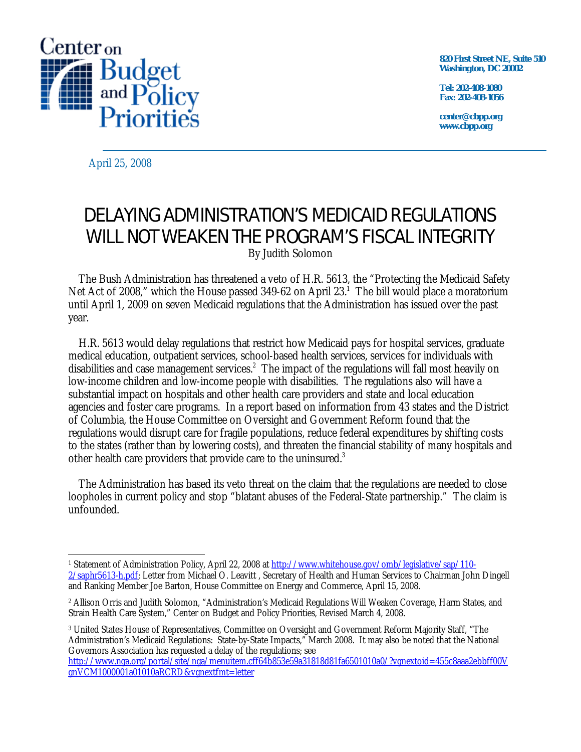

**820 First Street NE, Suite 510 Washington, DC 20002** 

**Tel: 202-408-1080 Fax: 202-408-1056** 

**center@cbpp.org www.cbpp.org** 

April 25, 2008

 $\overline{a}$ 

# DELAYING ADMINISTRATION'S MEDICAID REGULATIONS WILL NOT WEAKEN THE PROGRAM'S FISCAL INTEGRITY By Judith Solomon

 The Bush Administration has threatened a veto of H.R. 5613, the "Protecting the Medicaid Safety Net Act of 2008," which the House passed 349-62 on April 23.<sup>1</sup> The bill would place a moratorium until April 1, 2009 on seven Medicaid regulations that the Administration has issued over the past year.

 H.R. 5613 would delay regulations that restrict how Medicaid pays for hospital services, graduate medical education, outpatient services, school-based health services, services for individuals with disabilities and case management services.<sup>2</sup> The impact of the regulations will fall most heavily on low-income children and low-income people with disabilities. The regulations also will have a substantial impact on hospitals and other health care providers and state and local education agencies and foster care programs. In a report based on information from 43 states and the District of Columbia, the House Committee on Oversight and Government Reform found that the regulations would disrupt care for fragile populations, reduce federal expenditures by shifting costs to the states (rather than by lowering costs), and threaten the financial stability of many hospitals and other health care providers that provide care to the uninsured.<sup>3</sup>

 The Administration has based its veto threat on the claim that the regulations are needed to close loopholes in current policy and stop "blatant abuses of the Federal-State partnership." The claim is unfounded.

3 United States House of Representatives, Committee on Oversight and Government Reform Majority Staff, "The Administration's Medicaid Regulations: State-by-State Impacts," March 2008. It may also be noted that the National Governors Association has requested a delay of the regulations; see

<sup>1</sup> Statement of Administration Policy, April 22, 2008 at http://www.whitehouse.gov/omb/legislative/sap/110- 2/saphr5613-h.pdf; Letter from Michael O. Leavitt , Secretary of Health and Human Services to Chairman John Dingell and Ranking Member Joe Barton, House Committee on Energy and Commerce, April 15, 2008.

<sup>2</sup> Allison Orris and Judith Solomon, "Administration's Medicaid Regulations Will Weaken Coverage, Harm States, and Strain Health Care System," Center on Budget and Policy Priorities, Revised March 4, 2008.

http://www.nga.org/portal/site/nga/menuitem.cff64b853e59a31818d81fa6501010a0/?vgnextoid=455c8aaa2ebbff00V gnVCM1000001a01010aRCRD&vgnextfmt=letter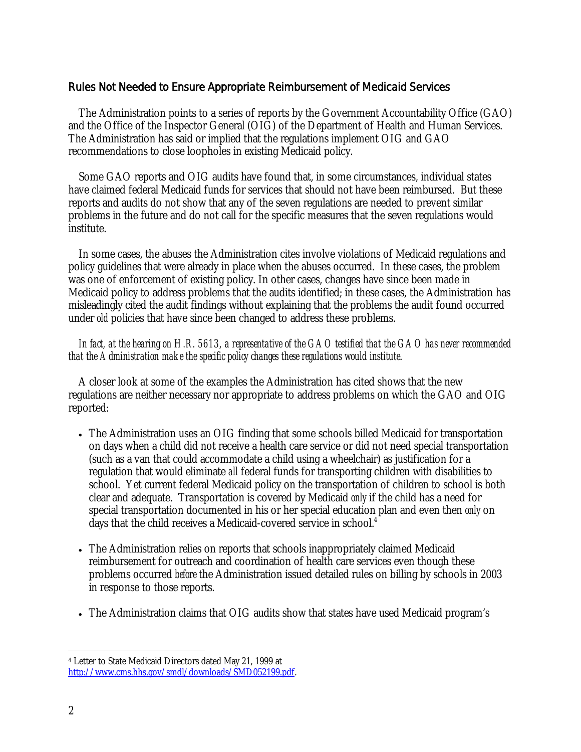## Rules Not Needed to Ensure Appropriate Reimbursement of Medicaid Services

 The Administration points to a series of reports by the Government Accountability Office (GAO) and the Office of the Inspector General (OIG) of the Department of Health and Human Services. The Administration has said or implied that the regulations implement OIG and GAO recommendations to close loopholes in existing Medicaid policy.

 Some GAO reports and OIG audits have found that, in some circumstances, individual states have claimed federal Medicaid funds for services that should not have been reimbursed. But these reports and audits do not show that any of the seven regulations are needed to prevent similar problems in the future and do not call for the specific measures that the seven regulations would institute.

 In some cases, the abuses the Administration cites involve violations of Medicaid regulations and policy guidelines that were already in place when the abuses occurred. In these cases, the problem was one of enforcement of existing policy. In other cases, changes have since been made in Medicaid policy to address problems that the audits identified; in these cases, the Administration has misleadingly cited the audit findings without explaining that the problems the audit found occurred under *old* policies that have since been changed to address these problems.

#### *In fact, at the hearing on H.R. 5613, a representative of the GAO testified that the GAO has never recommended that the Administration make the specific policy changes these regulations would institute*.

 A closer look at some of the examples the Administration has cited shows that the new regulations are neither necessary nor appropriate to address problems on which the GAO and OIG reported:

- The Administration uses an OIG finding that some schools billed Medicaid for transportation on days when a child did not receive a health care service or did not need special transportation (such as a van that could accommodate a child using a wheelchair) as justification for a regulation that would eliminate *all* federal funds for transporting children with disabilities to school. Yet current federal Medicaid policy on the transportation of children to school is both clear and adequate. Transportation is covered by Medicaid *only* if the child has a need for special transportation documented in his or her special education plan and even then *only* on days that the child receives a Medicaid-covered service in school.<sup>4</sup>
- The Administration relies on reports that schools inappropriately claimed Medicaid reimbursement for outreach and coordination of health care services even though these problems occurred *before* the Administration issued detailed rules on billing by schools in 2003 in response to those reports.
- The Administration claims that OIG audits show that states have used Medicaid program's

 $\overline{a}$ 

<sup>4</sup> Letter to State Medicaid Directors dated May 21, 1999 at http://www.cms.hhs.gov/smdl/downloads/SMD052199.pdf.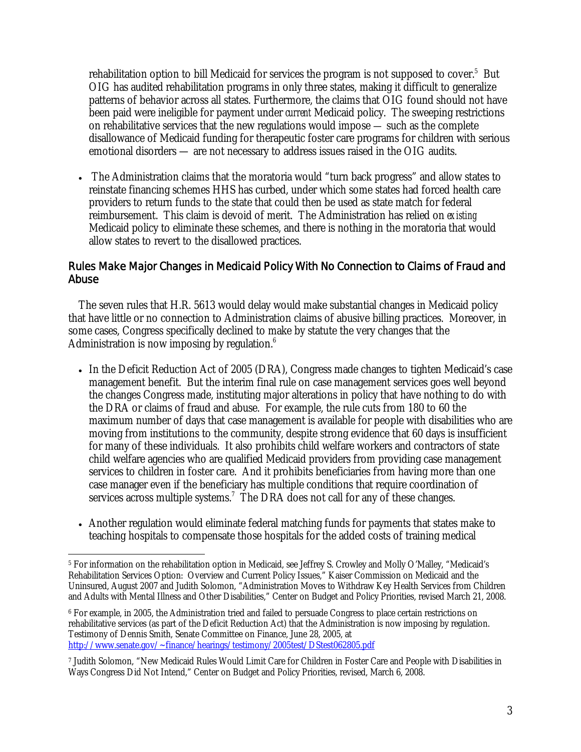rehabilitation option to bill Medicaid for services the program is not supposed to cover. $5$  But OIG has audited rehabilitation programs in only three states, making it difficult to generalize patterns of behavior across all states. Furthermore, the claims that OIG found should not have been paid were ineligible for payment under *current* Medicaid policy. The sweeping restrictions on rehabilitative services that the new regulations would impose — such as the complete disallowance of Medicaid funding for therapeutic foster care programs for children with serious emotional disorders — are not necessary to address issues raised in the OIG audits.

• The Administration claims that the moratoria would "turn back progress" and allow states to reinstate financing schemes HHS has curbed, under which some states had forced health care providers to return funds to the state that could then be used as state match for federal reimbursement. This claim is devoid of merit. The Administration has relied on *existing*  Medicaid policy to eliminate these schemes, and there is nothing in the moratoria that would allow states to revert to the disallowed practices.

# Rules Make Major Changes in Medicaid Policy With No Connection to Claims of Fraud and Abuse

 The seven rules that H.R. 5613 would delay would make substantial changes in Medicaid policy that have little or no connection to Administration claims of abusive billing practices. Moreover, in some cases, Congress specifically declined to make by statute the very changes that the Administration is now imposing by regulation.<sup>6</sup>

- In the Deficit Reduction Act of 2005 (DRA), Congress made changes to tighten Medicaid's case management benefit. But the interim final rule on case management services goes well beyond the changes Congress made, instituting major alterations in policy that have nothing to do with the DRA or claims of fraud and abuse. For example, the rule cuts from 180 to 60 the maximum number of days that case management is available for people with disabilities who are moving from institutions to the community, despite strong evidence that 60 days is insufficient for many of these individuals. It also prohibits child welfare workers and contractors of state child welfare agencies who are qualified Medicaid providers from providing case management services to children in foster care. And it prohibits beneficiaries from having more than one case manager even if the beneficiary has multiple conditions that require coordination of services across multiple systems.<sup>7</sup> The DRA does not call for any of these changes.
- Another regulation would eliminate federal matching funds for payments that states make to teaching hospitals to compensate those hospitals for the added costs of training medical

 $\overline{a}$ 5 For information on the rehabilitation option in Medicaid, see Jeffrey S. Crowley and Molly O'Malley, "Medicaid's Rehabilitation Services Option: Overview and Current Policy Issues," Kaiser Commission on Medicaid and the Uninsured, August 2007 and Judith Solomon, "Administration Moves to Withdraw Key Health Services from Children and Adults with Mental Illness and Other Disabilities," Center on Budget and Policy Priorities, revised March 21, 2008.

<sup>6</sup> For example, in 2005, the Administration tried and failed to persuade Congress to place certain restrictions on rehabilitative services (as part of the Deficit Reduction Act) that the Administration is now imposing by regulation. Testimony of Dennis Smith, Senate Committee on Finance, June 28, 2005, at http://www.senate.gov/~finance/hearings/testimony/2005test/DStest062805.pdf

<sup>7</sup> Judith Solomon, "New Medicaid Rules Would Limit Care for Children in Foster Care and People with Disabilities in Ways Congress Did Not Intend," Center on Budget and Policy Priorities, revised, March 6, 2008.